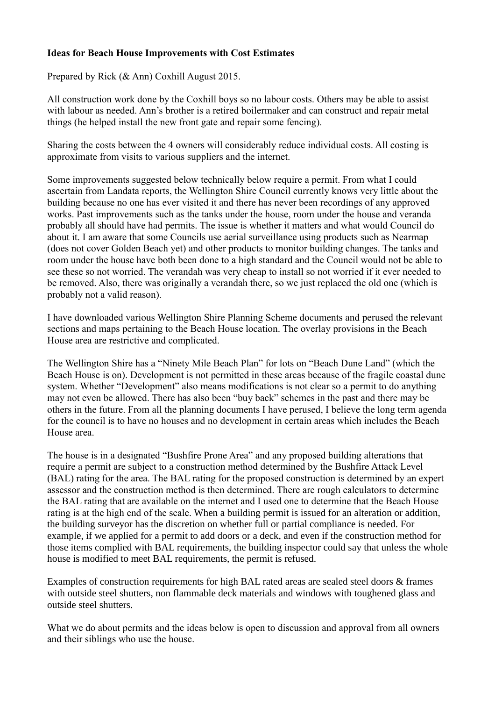#### **Ideas for Beach House Improvements with Cost Estimates**

Prepared by Rick (& Ann) Coxhill August 2015.

All construction work done by the Coxhill boys so no labour costs. Others may be able to assist with labour as needed. Ann's brother is a retired boilermaker and can construct and repair metal things (he helped install the new front gate and repair some fencing).

Sharing the costs between the 4 owners will considerably reduce individual costs. All costing is approximate from visits to various suppliers and the internet.

Some improvements suggested below technically below require a permit. From what I could ascertain from Landata reports, the Wellington Shire Council currently knows very little about the building because no one has ever visited it and there has never been recordings of any approved works. Past improvements such as the tanks under the house, room under the house and veranda probably all should have had permits. The issue is whether it matters and what would Council do about it. I am aware that some Councils use aerial surveillance using products such as Nearmap (does not cover Golden Beach yet) and other products to monitor building changes. The tanks and room under the house have both been done to a high standard and the Council would not be able to see these so not worried. The verandah was very cheap to install so not worried if it ever needed to be removed. Also, there was originally a verandah there, so we just replaced the old one (which is probably not a valid reason).

I have downloaded various Wellington Shire Planning Scheme documents and perused the relevant sections and maps pertaining to the Beach House location. The overlay provisions in the Beach House area are restrictive and complicated.

The Wellington Shire has a "Ninety Mile Beach Plan" for lots on "Beach Dune Land" (which the Beach House is on). Development is not permitted in these areas because of the fragile coastal dune system. Whether "Development" also means modifications is not clear so a permit to do anything may not even be allowed. There has also been "buy back" schemes in the past and there may be others in the future. From all the planning documents I have perused, I believe the long term agenda for the council is to have no houses and no development in certain areas which includes the Beach House area.

The house is in a designated "Bushfire Prone Area" and any proposed building alterations that require a permit are subject to a construction method determined by the Bushfire Attack Level (BAL) rating for the area. The BAL rating for the proposed construction is determined by an expert assessor and the construction method is then determined. There are rough calculators to determine the BAL rating that are available on the internet and I used one to determine that the Beach House rating is at the high end of the scale. When a building permit is issued for an alteration or addition, the building surveyor has the discretion on whether full or partial compliance is needed. For example, if we applied for a permit to add doors or a deck, and even if the construction method for those items complied with BAL requirements, the building inspector could say that unless the whole house is modified to meet BAL requirements, the permit is refused.

Examples of construction requirements for high BAL rated areas are sealed steel doors & frames with outside steel shutters, non flammable deck materials and windows with toughened glass and outside steel shutters.

What we do about permits and the ideas below is open to discussion and approval from all owners and their siblings who use the house.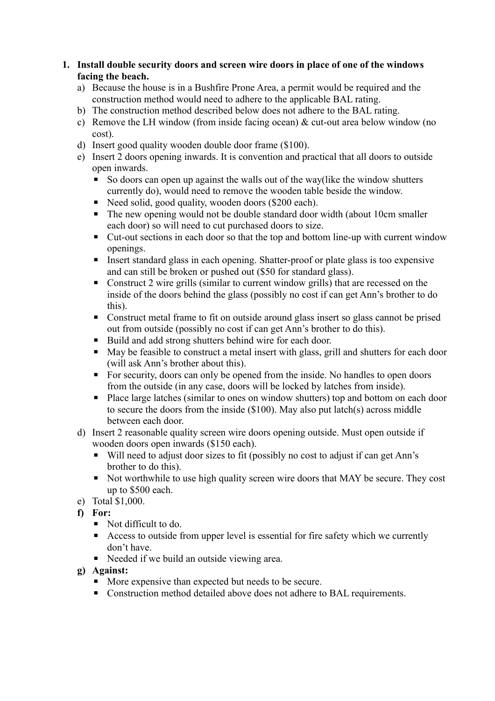**1. Install double security doors and screen wire doors in place of one of the windows facing the beach.**

- a) Because the house is in a Bushfire Prone Area, a permit would be required and the construction method would need to adhere to the applicable BAL rating.
- b) The construction method described below does not adhere to the BAL rating.
- c) Remove the LH window (from inside facing ocean) & cut-out area below window (no cost).
- d) Insert good quality wooden double door frame (\$100).
- e) Insert 2 doors opening inwards. It is convention and practical that all doors to outside open inwards.
	- So doors can open up against the walls out of the way(like the window shutters currently do), would need to remove the wooden table beside the window.
	- Need solid, good quality, wooden doors (\$200 each).
	- The new opening would not be double standard door width (about 10cm smaller each door) so will need to cut purchased doors to size.
	- Cut-out sections in each door so that the top and bottom line-up with current window openings.
	- Insert standard glass in each opening. Shatter-proof or plate glass is too expensive and can still be broken or pushed out (\$50 for standard glass).
	- Construct 2 wire grills (similar to current window grills) that are recessed on the inside of the doors behind the glass (possibly no cost if can get Ann's brother to do this).
	- Construct metal frame to fit on outside around glass insert so glass cannot be prised out from outside (possibly no cost if can get Ann's brother to do this).
	- Build and add strong shutters behind wire for each door.
	- May be feasible to construct a metal insert with glass, grill and shutters for each door (will ask Ann's brother about this).
	- For security, doors can only be opened from the inside. No handles to open doors from the outside (in any case, doors will be locked by latches from inside).
	- Place large latches (similar to ones on window shutters) top and bottom on each door to secure the doors from the inside (\$100). May also put latch(s) across middle between each door.
- d) Insert 2 reasonable quality screen wire doors opening outside. Must open outside if wooden doors open inwards (\$150 each).
	- Will need to adjust door sizes to fit (possibly no cost to adjust if can get Ann's brother to do this).
	- Not worthwhile to use high quality screen wire doors that MAY be secure. They cost up to \$500 each.
- e) Total \$1,000.
- **f) For:**
	- Not difficult to do.
	- Access to outside from upper level is essential for fire safety which we currently don't have.
	- Needed if we build an outside viewing area.
- **g) Against:**
	- More expensive than expected but needs to be secure.
	- Construction method detailed above does not adhere to BAL requirements.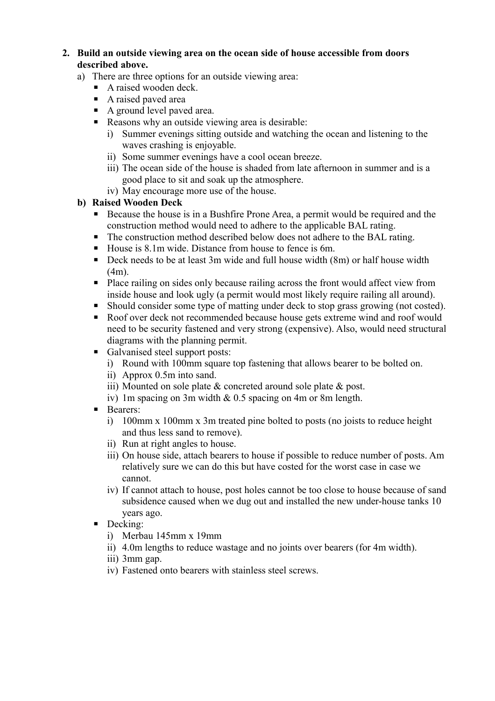- **2. Build an outside viewing area on the ocean side of house accessible from doors described above.**
	- a) There are three options for an outside viewing area:
		- $\blacksquare$  A raised wooden deck.
		- A raised paved area
		- A ground level paved area.
		- Reasons why an outside viewing area is desirable:
			- i) Summer evenings sitting outside and watching the ocean and listening to the waves crashing is enjoyable.
			- ii) Some summer evenings have a cool ocean breeze.
			- iii) The ocean side of the house is shaded from late afternoon in summer and is a good place to sit and soak up the atmosphere.
			- iv) May encourage more use of the house.

#### **b) Raised Wooden Deck**

- Because the house is in a Bushfire Prone Area, a permit would be required and the construction method would need to adhere to the applicable BAL rating.
- The construction method described below does not adhere to the BAL rating.
- House is 8.1m wide. Distance from house to fence is 6m.
- Deck needs to be at least 3m wide and full house width (8m) or half house width (4m).
- Place railing on sides only because railing across the front would affect view from inside house and look ugly (a permit would most likely require railing all around).
- Should consider some type of matting under deck to stop grass growing (not costed).
- Roof over deck not recommended because house gets extreme wind and roof would need to be security fastened and very strong (expensive). Also, would need structural diagrams with the planning permit.
- Galvanised steel support posts:
	- i) Round with 100mm square top fastening that allows bearer to be bolted on.
	- ii) Approx 0.5m into sand.
	- iii) Mounted on sole plate & concreted around sole plate & post.
	- iv) 1m spacing on 3m width & 0.5 spacing on 4m or 8m length.
- Bearers:
	- i) 100mm x 100mm x 3m treated pine bolted to posts (no joists to reduce height and thus less sand to remove).
	- ii) Run at right angles to house.
	- iii) On house side, attach bearers to house if possible to reduce number of posts. Am relatively sure we can do this but have costed for the worst case in case we cannot.
	- iv) If cannot attach to house, post holes cannot be too close to house because of sand subsidence caused when we dug out and installed the new under-house tanks 10 years ago.
- **•** Decking:
	- i) Merbau 145mm x 19mm
	- ii) 4.0m lengths to reduce wastage and no joints over bearers (for 4m width).
	- iii) 3mm gap.
	- iv) Fastened onto bearers with stainless steel screws.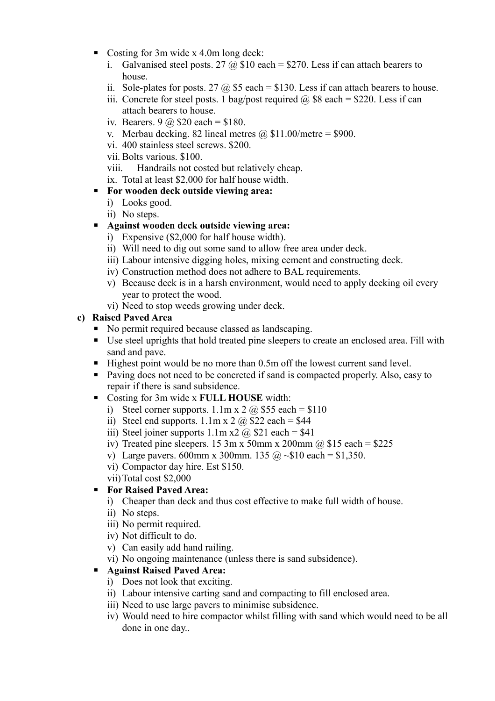- Costing for 3m wide x 4.0m long deck:
	- i. Galvanised steel posts. 27  $\omega$  \$10 each = \$270. Less if can attach bearers to house.
	- ii. Sole-plates for posts. 27  $\omega$  \$5 each = \$130. Less if can attach bearers to house.
	- iii. Concrete for steel posts. 1 bag/post required  $\omega$  \$8 each = \$220. Less if can attach bearers to house.
	- iv. Bearers.  $9 \text{ (a)} $20 \text{ each} = $180$ .
	- v. Merbau decking. 82 lineal metres  $\omega$  \$11.00/metre = \$900.
	- vi. 400 stainless steel screws. \$200.
	- vii. Bolts various. \$100.
	- viii. Handrails not costed but relatively cheap.
	- ix. Total at least \$2,000 for half house width.
- **For wooden deck outside viewing area:**
	- i) Looks good.
	- ii) No steps.

## ▪ **Against wooden deck outside viewing area:**

- i) Expensive (\$2,000 for half house width).
- ii) Will need to dig out some sand to allow free area under deck.
- iii) Labour intensive digging holes, mixing cement and constructing deck.
- iv) Construction method does not adhere to BAL requirements.
- v) Because deck is in a harsh environment, would need to apply decking oil every year to protect the wood.
- vi) Need to stop weeds growing under deck.

## **c) Raised Paved Area**

- No permit required because classed as landscaping.
- Use steel uprights that hold treated pine sleepers to create an enclosed area. Fill with sand and pave.
- Highest point would be no more than 0.5m off the lowest current sand level.
- Paving does not need to be concreted if sand is compacted properly. Also, easy to repair if there is sand subsidence.
- Costing for 3m wide x **FULL HOUSE** width:
	- i) Steel corner supports.  $1.1$ m x  $2 \overline{a}$  \$55 each = \$110
	- ii) Steel end supports.  $1.1 \text{m} \times 2$  (a) \$22 each = \$44
	- iii) Steel joiner supports  $1.1$ m x2  $\omega$  \$21 each = \$41
	- iv) Treated pine sleepers. 15 3m x 50mm x 200mm  $\omega$  \$15 each = \$225
	- v) Large pavers. 600mm x 300mm. 135 @ ~\$10 each = \$1,350.
	- vi) Compactor day hire. Est \$150.
	- vii)Total cost \$2,000

## ▪ **For Raised Paved Area:**

- i) Cheaper than deck and thus cost effective to make full width of house.
- ii) No steps.
- iii) No permit required.
- iv) Not difficult to do.
- v) Can easily add hand railing.
- vi) No ongoing maintenance (unless there is sand subsidence).

## ▪ **Against Raised Paved Area:**

- i) Does not look that exciting.
- ii) Labour intensive carting sand and compacting to fill enclosed area.
- iii) Need to use large pavers to minimise subsidence.
- iv) Would need to hire compactor whilst filling with sand which would need to be all done in one day..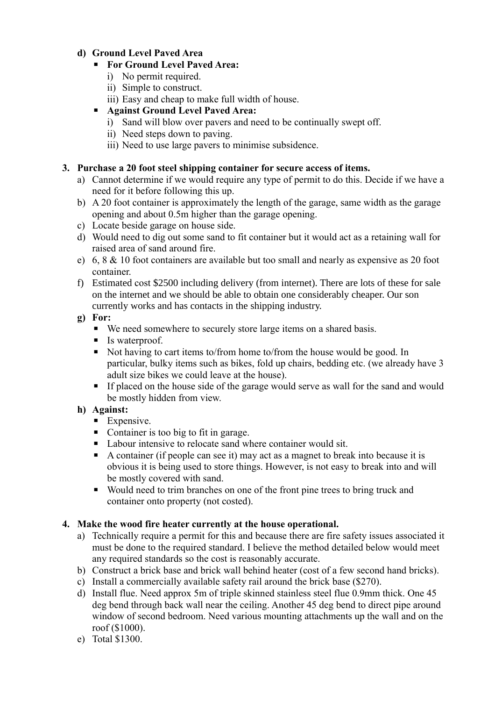## **d) Ground Level Paved Area**

## ▪ **For Ground Level Paved Area:**

- i) No permit required.
- ii) Simple to construct.
- iii) Easy and cheap to make full width of house.

## ▪ **Against Ground Level Paved Area:**

- i) Sand will blow over pavers and need to be continually swept off.
- ii) Need steps down to paving.
- iii) Need to use large pavers to minimise subsidence.

#### **3. Purchase a 20 foot steel shipping container for secure access of items.**

- a) Cannot determine if we would require any type of permit to do this. Decide if we have a need for it before following this up.
- b) A 20 foot container is approximately the length of the garage, same width as the garage opening and about 0.5m higher than the garage opening.
- c) Locate beside garage on house side.
- d) Would need to dig out some sand to fit container but it would act as a retaining wall for raised area of sand around fire.
- e) 6, 8 & 10 foot containers are available but too small and nearly as expensive as 20 foot container.
- f) Estimated cost \$2500 including delivery (from internet). There are lots of these for sale on the internet and we should be able to obtain one considerably cheaper. Our son currently works and has contacts in the shipping industry.
- **g) For:**
	- We need somewhere to securely store large items on a shared basis.
	- Is waterproof.
	- Not having to cart items to/from home to/from the house would be good. In particular, bulky items such as bikes, fold up chairs, bedding etc. (we already have 3 adult size bikes we could leave at the house).
	- **If placed on the house side of the garage would serve as wall for the sand and would** be mostly hidden from view.

## **h) Against:**

- **Expensive.**
- Container is too big to fit in garage.
- Labour intensive to relocate sand where container would sit.
- $\blacksquare$  A container (if people can see it) may act as a magnet to break into because it is obvious it is being used to store things. However, is not easy to break into and will be mostly covered with sand.
- Would need to trim branches on one of the front pine trees to bring truck and container onto property (not costed).

## **4. Make the wood fire heater currently at the house operational.**

- a) Technically require a permit for this and because there are fire safety issues associated it must be done to the required standard. I believe the method detailed below would meet any required standards so the cost is reasonably accurate.
- b) Construct a brick base and brick wall behind heater (cost of a few second hand bricks).
- c) Install a commercially available safety rail around the brick base (\$270).
- d) Install flue. Need approx 5m of triple skinned stainless steel flue 0.9mm thick. One 45 deg bend through back wall near the ceiling. Another 45 deg bend to direct pipe around window of second bedroom. Need various mounting attachments up the wall and on the roof (\$1000).
- e) Total \$1300.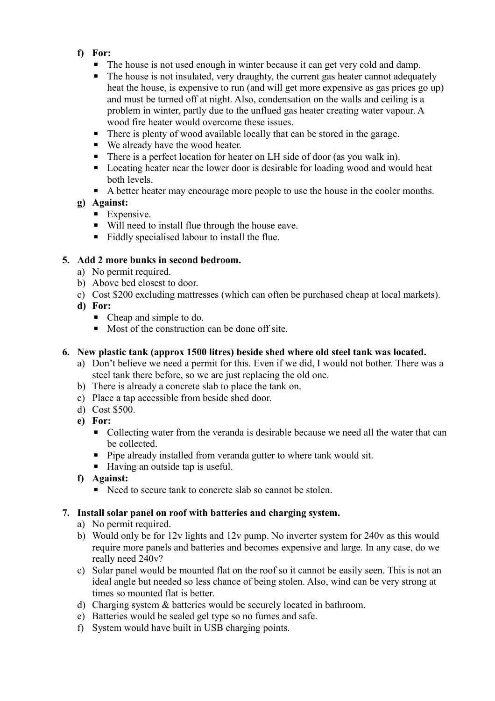- **f) For:**
	- **The house is not used enough in winter because it can get very cold and damp.**
	- The house is not insulated, very draughty, the current gas heater cannot adequately heat the house, is expensive to run (and will get more expensive as gas prices go up) and must be turned off at night. Also, condensation on the walls and ceiling is a problem in winter, partly due to the unflued gas heater creating water vapour. A wood fire heater would overcome these issues.
	- There is plenty of wood available locally that can be stored in the garage.
	- We already have the wood heater.
	- There is a perfect location for heater on LH side of door (as you walk in).
	- Locating heater near the lower door is desirable for loading wood and would heat both levels.
	- A better heater may encourage more people to use the house in the cooler months.

# **g) Against:**

- **Expensive.**
- Will need to install flue through the house eave.
- Fiddly specialised labour to install the flue.

# **5. Add 2 more bunks in second bedroom.**

- a) No permit required.
- b) Above bed closest to door.
- c) Cost \$200 excluding mattresses (which can often be purchased cheap at local markets).
- **d) For:**
	- Cheap and simple to do.
	- Most of the construction can be done off site.

# **6. New plastic tank (approx 1500 litres) beside shed where old steel tank was located.**

- a) Don't believe we need a permit for this. Even if we did, I would not bother. There was a steel tank there before, so we are just replacing the old one.
- b) There is already a concrete slab to place the tank on.
- c) Place a tap accessible from beside shed door.
- d) Cost \$500.
- **e) For:**
	- Collecting water from the veranda is desirable because we need all the water that can be collected.
	- **•** Pipe already installed from veranda gutter to where tank would sit.
	- Having an outside tap is useful.
- **f) Against:**
	- Need to secure tank to concrete slab so cannot be stolen.

## **7. Install solar panel on roof with batteries and charging system.**

- a) No permit required.
- b) Would only be for 12v lights and 12v pump. No inverter system for 240v as this would require more panels and batteries and becomes expensive and large. In any case, do we really need 240v?
- c) Solar panel would be mounted flat on the roof so it cannot be easily seen. This is not an ideal angle but needed so less chance of being stolen. Also, wind can be very strong at times so mounted flat is better.
- d) Charging system & batteries would be securely located in bathroom.
- e) Batteries would be sealed gel type so no fumes and safe.
- f) System would have built in USB charging points.